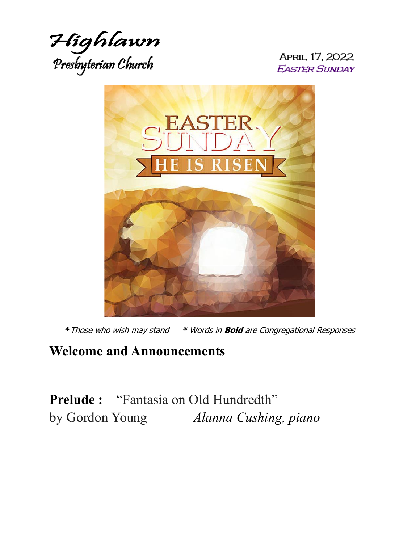

APRIL 17, 2022 **EASTER SUNDAY** 



**\***Those who wish may stand **\*** Words in **Bold** are Congregational Responses

### **Welcome and Announcements**

**Prelude :** "Fantasia on Old Hundredth" by Gordon Young *Alanna Cushing, piano*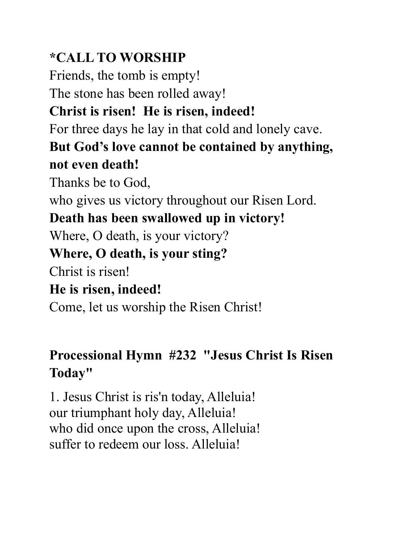# **\*CALL TO WORSHIP**

Friends, the tomb is empty! The stone has been rolled away! **Christ is risen! He is risen, indeed!** For three days he lay in that cold and lonely cave. **But God's love cannot be contained by anything, not even death!** Thanks be to God, who gives us victory throughout our Risen Lord. **Death has been swallowed up in victory!**  Where, O death, is your victory? **Where, O death, is your sting?** Christ is risen! **He is risen, indeed!** Come, let us worship the Risen Christ!

# **Processional Hymn #232 "Jesus Christ Is Risen Today"**

1. Jesus Christ is ris'n today, Alleluia! our triumphant holy day, Alleluia! who did once upon the cross, Alleluia! suffer to redeem our loss. Alleluia!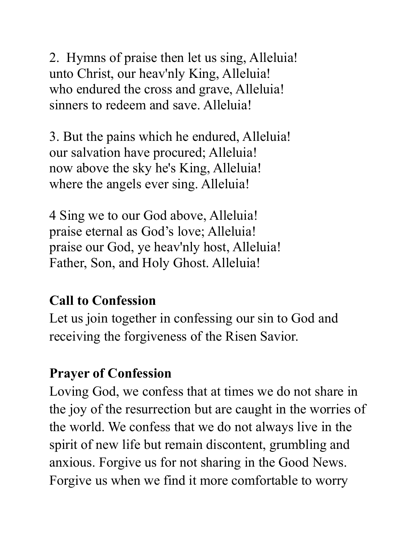2. Hymns of praise then let us sing, Alleluia! unto Christ, our heav'nly King, Alleluia! who endured the cross and grave, Alleluia! sinners to redeem and save. Alleluia!

3. But the pains which he endured, Alleluia! our salvation have procured; Alleluia! now above the sky he's King, Alleluia! where the angels ever sing. Alleluia!

4 Sing we to our God above, Alleluia! praise eternal as God's love; Alleluia! praise our God, ye heav'nly host, Alleluia! Father, Son, and Holy Ghost. Alleluia!

# **Call to Confession**

Let us join together in confessing our sin to God and receiving the forgiveness of the Risen Savior.

# **Prayer of Confession**

Loving God, we confess that at times we do not share in the joy of the resurrection but are caught in the worries of the world. We confess that we do not always live in the spirit of new life but remain discontent, grumbling and anxious. Forgive us for not sharing in the Good News. Forgive us when we find it more comfortable to worry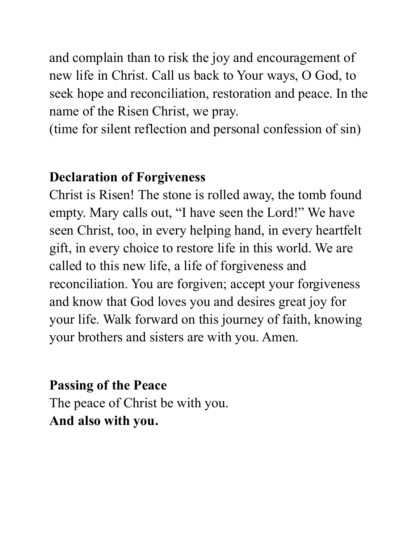and complain than to risk the joy and encouragement of new life in Christ. Call us back to Your ways, O God, to seek hope and reconciliation, restoration and peace. In the name of the Risen Christ, we pray.

(time for silent reflection and personal confession of sin)

### **Declaration of Forgiveness**

Christ is Risen! The stone is rolled away, the tomb found empty. Mary calls out, "I have seen the Lord!" We have seen Christ, too, in every helping hand, in every heartfelt gift, in every choice to restore life in this world. We are called to this new life, a life of forgiveness and reconciliation. You are forgiven; accept your forgiveness and know that God loves you and desires great joy for your life. Walk forward on this journey of faith, knowing your brothers and sisters are with you. Amen.

# **Passing of the Peace**  The peace of Christ be with you. **And also with you.**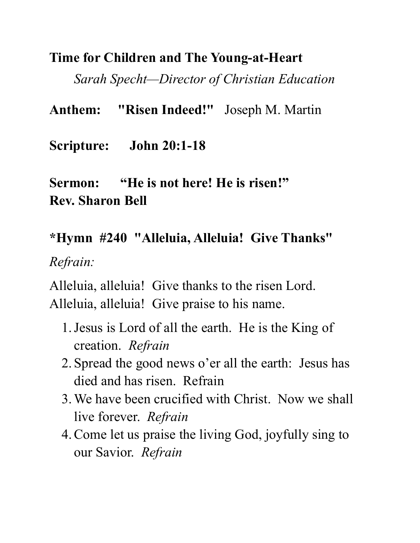### **Time for Children and The Young-at-Heart**

*Sarah Specht—Director of Christian Education*

**Anthem: "Risen Indeed!"** Joseph M. Martin

**Scripture: John 20:1-18** 

# **Sermon: "He is not here! He is risen!" Rev. Sharon Bell**

# **\*Hymn #240 "Alleluia, Alleluia! Give Thanks"**

*Refrain:*

Alleluia, alleluia! Give thanks to the risen Lord. Alleluia, alleluia! Give praise to his name.

- 1.Jesus is Lord of all the earth. He is the King of creation. *Refrain*
- 2. Spread the good news o'er all the earth: Jesus has died and has risen. Refrain
- 3.We have been crucified with Christ. Now we shall live forever. *Refrain*
- 4.Come let us praise the living God, joyfully sing to our Savior. *Refrain*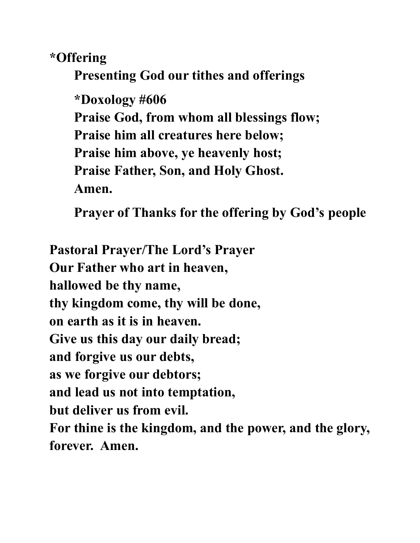**\*Offering** 

**Presenting God our tithes and offerings**

**\*Doxology #606 Praise God, from whom all blessings flow; Praise him all creatures here below; Praise him above, ye heavenly host; Praise Father, Son, and Holy Ghost. Amen.**

**Prayer of Thanks for the offering by God's people**

**Pastoral Prayer/The Lord's Prayer Our Father who art in heaven, hallowed be thy name, thy kingdom come, thy will be done, on earth as it is in heaven. Give us this day our daily bread; and forgive us our debts, as we forgive our debtors; and lead us not into temptation, but deliver us from evil. For thine is the kingdom, and the power, and the glory, forever. Amen.**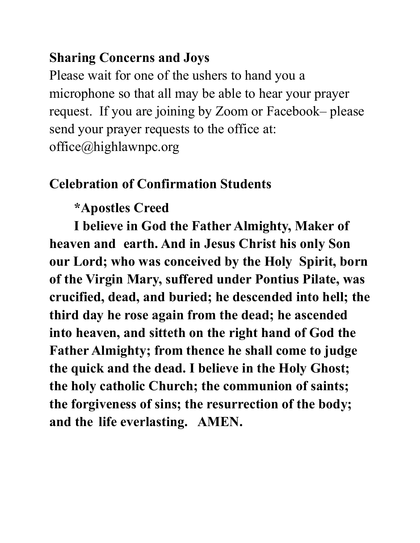## **Sharing Concerns and Joys**

Please wait for one of the ushers to hand you a microphone so that all may be able to hear your prayer request. If you are joining by Zoom or Facebook– please send your prayer requests to the office at: office@highlawnpc.org

### **Celebration of Confirmation Students**

## **\*Apostles Creed**

**I believe in God the Father Almighty, Maker of heaven and earth. And in Jesus Christ his only Son our Lord; who was conceived by the Holy Spirit, born of the Virgin Mary, suffered under Pontius Pilate, was crucified, dead, and buried; he descended into hell; the third day he rose again from the dead; he ascended into heaven, and sitteth on the right hand of God the Father Almighty; from thence he shall come to judge the quick and the dead. I believe in the Holy Ghost; the holy catholic Church; the communion of saints; the forgiveness of sins; the resurrection of the body; and the life everlasting. AMEN.**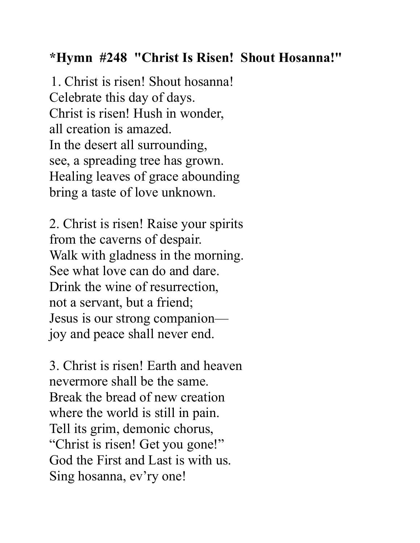## **\*Hymn #248 "Christ Is Risen! Shout Hosanna!"**

1. Christ is risen! Shout hosanna! Celebrate this day of days. Christ is risen! Hush in wonder, all creation is amazed. In the desert all surrounding, see, a spreading tree has grown. Healing leaves of grace abounding bring a taste of love unknown.

2. Christ is risen! Raise your spirits from the caverns of despair. Walk with gladness in the morning. See what love can do and dare. Drink the wine of resurrection, not a servant, but a friend; Jesus is our strong companion joy and peace shall never end.

3. Christ is risen! Earth and heaven nevermore shall be the same. Break the bread of new creation where the world is still in pain. Tell its grim, demonic chorus, "Christ is risen! Get you gone!" God the First and Last is with us. Sing hosanna, ev'ry one!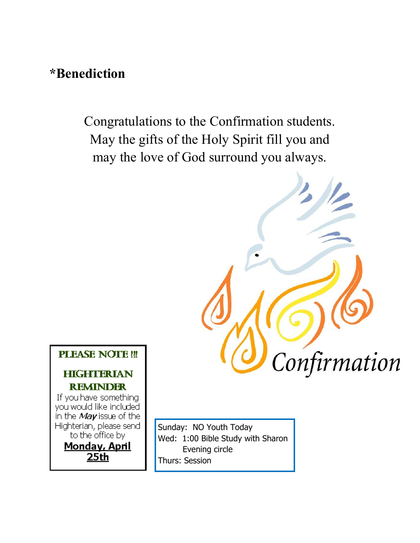### **\*Benediction**

Congratulations to the Confirmation students. May the gifts of the Holy Spirit fill you and may the love of God surround you always.



**PLEASE NOTE!!!** 

#### **HIGHTERIAN REMINDER**

If you have something you would like included in the May issue of the Highterian, please send to the office by Monday, April

25th

Sunday: NO Youth Today Wed: 1:00 Bible Study with Sharon Evening circle Thurs: Session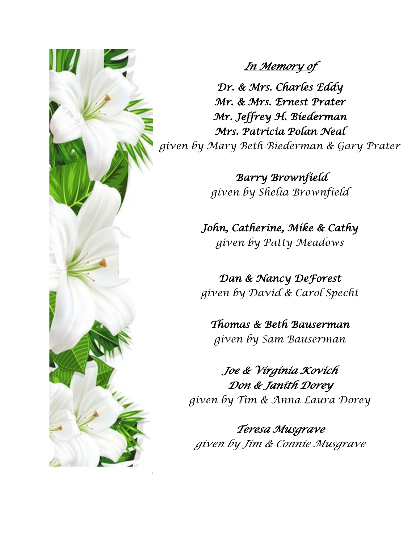

### *In Memory of*

*Dr. & Mrs. Charles Eddy Mr. & Mrs. Ernest Prater Mr. Jeffrey H. Biederman Mrs. Patricia Polan Neal given by Mary Beth Biederman & Gary Prater* 

> *Barry Brownfield given by Shelia Brownfield*

*John, Catherine, Mike & Cathy given by Patty Meadows* 

*Dan & Nancy DeForest given by David & Carol Specht* 

*Thomas & Beth Bauserman given by Sam Bauserman* 

*Joe & Virginia Kovich Don & Janith Dorey given by Tim & Anna Laura Dorey* 

*Teresa Musgrave given by Jim & Connie Musgrave*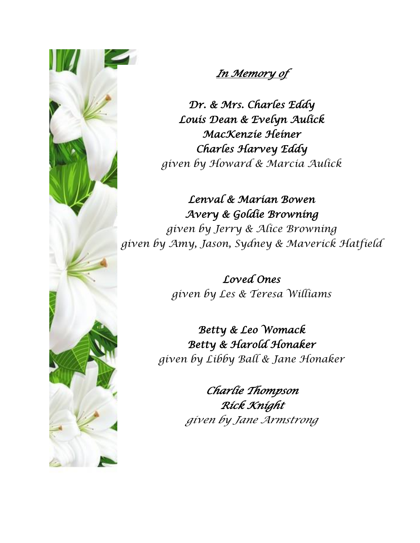

### *In Memory of*

*Dr. & Mrs. Charles Eddy Louis Dean & Evelyn Aulick MacKenzie Heiner Charles Harvey Eddy given by Howard & Marcia Aulick* 

*Lenval & Marian Bowen Avery & Goldie Browning given by Jerry & Alice Browning given by Amy, Jason, Sydney & Maverick Hatfield* 

> *Loved Ones given by Les & Teresa Williams*

*Betty & Leo Womack Betty & Harold Honaker given by Libby Ball & Jane Honaker*

> *Charlie Thompson Rick Knight given by Jane Armstrong*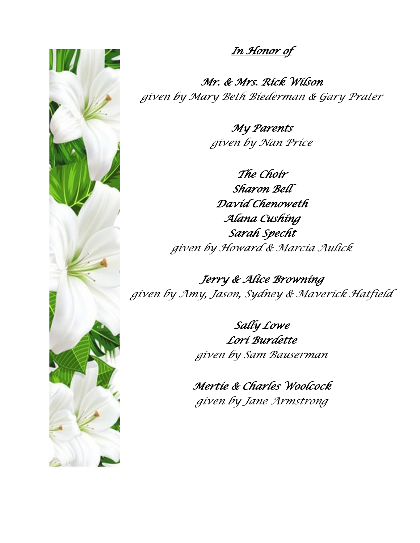

*In Honor of* 

*Mr. & Mrs. Rick Wilson given by Mary Beth Biederman & Gary Prater*

> *My Parents given by Nan Price*

*The Choir Sharon Bell David Chenoweth Alana Cushing Sarah Specht given by Howard & Marcia Aulick*

*Jerry & Alice Browning given by Amy, Jason, Sydney & Maverick Hatfield*

> *Sally Lowe Lori Burdette given by Sam Bauserman*

*Mertie & Charles Woolcock given by Jane Armstrong*